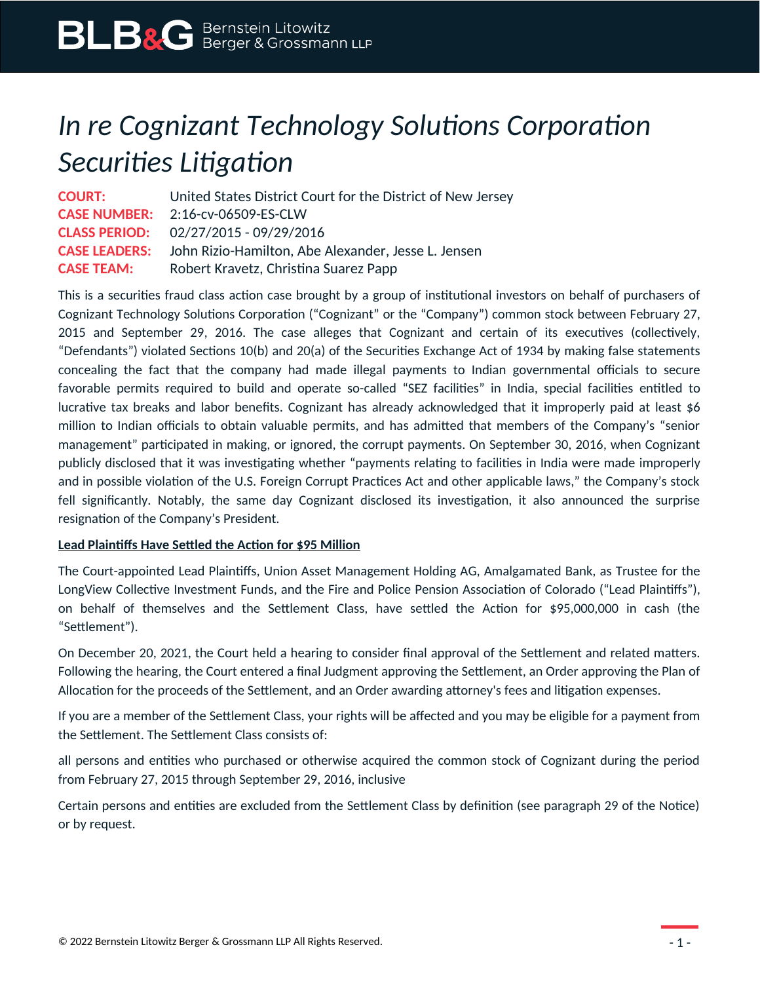# *In re Cognizant Technology Solutions Corporation Securities Litigation*

**COURT:** United States District Court for the District of New Jersey **CASE NUMBER:** 2:16-cv-06509-ES-CLW **CLASS PERIOD:** 02/27/2015 - 09/29/2016 **CASE LEADERS:** John Rizio-Hamilton, Abe Alexander, Jesse L. Jensen **CASE TEAM:** Robert Kravetz, Christina Suarez Papp

This is a securities fraud class action case brought by a group of institutional investors on behalf of purchasers of Cognizant Technology Solutions Corporation ("Cognizant" or the "Company") common stock between February 27, 2015 and September 29, 2016. The case alleges that Cognizant and certain of its executives (collectively, "Defendants") violated Sections 10(b) and 20(a) of the Securities Exchange Act of 1934 by making false statements concealing the fact that the company had made illegal payments to Indian governmental officials to secure favorable permits required to build and operate so-called "SEZ facilities" in India, special facilities entitled to lucrative tax breaks and labor benefits. Cognizant has already acknowledged that it improperly paid at least \$6 million to Indian officials to obtain valuable permits, and has admitted that members of the Company's "senior management" participated in making, or ignored, the corrupt payments. On September 30, 2016, when Cognizant publicly disclosed that it was investigating whether "payments relating to facilities in India were made improperly and in possible violation of the U.S. Foreign Corrupt Practices Act and other applicable laws," the Company's stock fell significantly. Notably, the same day Cognizant disclosed its investigation, it also announced the surprise resignation of the Company's President.

### **Lead Plaintiffs Have Settled the Action for \$95 Million**

The Court-appointed Lead Plaintiffs, Union Asset Management Holding AG, Amalgamated Bank, as Trustee for the LongView Collective Investment Funds, and the Fire and Police Pension Association of Colorado ("Lead Plaintiffs"), on behalf of themselves and the Settlement Class, have settled the Action for \$95,000,000 in cash (the "Settlement").

On December 20, 2021, the Court held a hearing to consider final approval of the Settlement and related matters. Following the hearing, the Court entered a final Judgment approving the Settlement, an Order approving the Plan of Allocation for the proceeds of the Settlement, and an Order awarding attorney's fees and litigation expenses.

If you are a member of the Settlement Class, your rights will be affected and you may be eligible for a payment from the Settlement. The Settlement Class consists of:

all persons and entities who purchased or otherwise acquired the common stock of Cognizant during the period from February 27, 2015 through September 29, 2016, inclusive

Certain persons and entities are excluded from the Settlement Class by definition (see paragraph 29 of the Notice) or by request.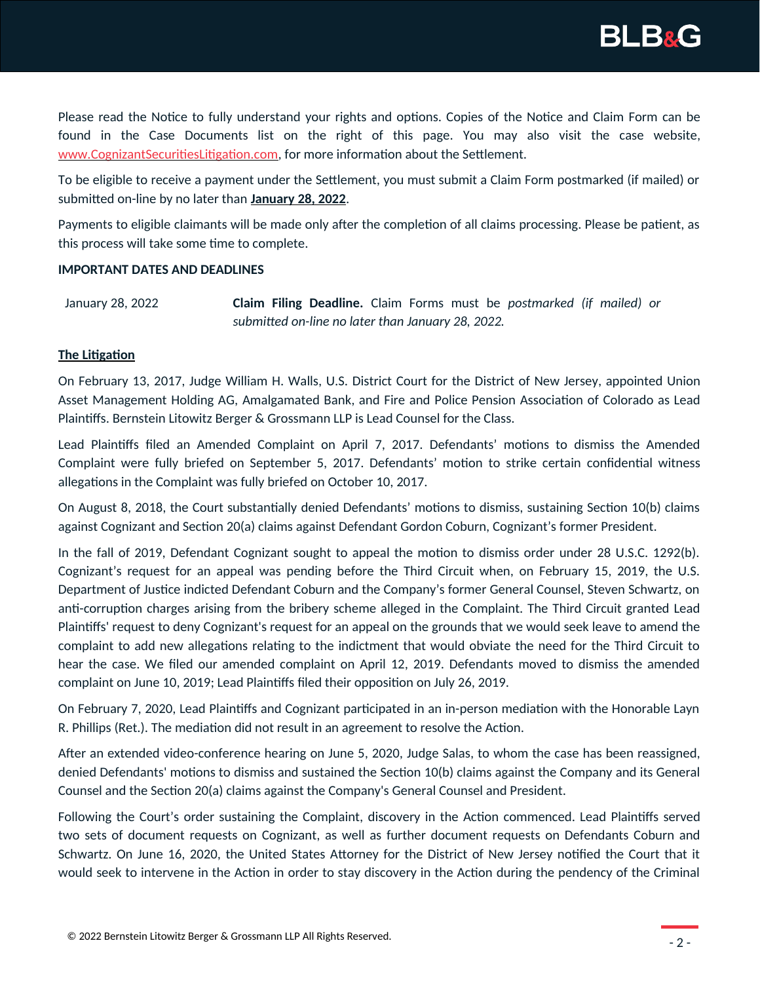

Please read the Notice to fully understand your rights and options. Copies of the Notice and Claim Form can be found in the Case Documents list on the right of this page. You may also visit the case website, [www.CognizantSecuritiesLitigation.com](https://www.cognizantsecuritieslitigation.com/), for more information about the Settlement.

To be eligible to receive a payment under the Settlement, you must submit a Claim Form postmarked (if mailed) or submitted on-line by no later than **January 28, 2022**.

Payments to eligible claimants will be made only after the completion of all claims processing. Please be patient, as this process will take some time to complete.

#### **IMPORTANT DATES AND DEADLINES**

January 28, 2022 **Claim Filing Deadline.** Claim Forms must be *postmarked (if mailed) or submitted on-line no later than January 28, 2022.*

## **The Litigation**

On February 13, 2017, Judge William H. Walls, U.S. District Court for the District of New Jersey, appointed Union Asset Management Holding AG, Amalgamated Bank, and Fire and Police Pension Association of Colorado as Lead Plaintiffs. Bernstein Litowitz Berger & Grossmann LLP is Lead Counsel for the Class.

Lead Plaintiffs filed an Amended Complaint on April 7, 2017. Defendants' motions to dismiss the Amended Complaint were fully briefed on September 5, 2017. Defendants' motion to strike certain confidential witness allegations in the Complaint was fully briefed on October 10, 2017.

On August 8, 2018, the Court substantially denied Defendants' motions to dismiss, sustaining Section 10(b) claims against Cognizant and Section 20(a) claims against Defendant Gordon Coburn, Cognizant's former President.

In the fall of 2019, Defendant Cognizant sought to appeal the motion to dismiss order under 28 U.S.C. 1292(b). Cognizant's request for an appeal was pending before the Third Circuit when, on February 15, 2019, the U.S. Department of Justice indicted Defendant Coburn and the Company's former General Counsel, Steven Schwartz, on anti-corruption charges arising from the bribery scheme alleged in the Complaint. The Third Circuit granted Lead Plaintiffs' request to deny Cognizant's request for an appeal on the grounds that we would seek leave to amend the complaint to add new allegations relating to the indictment that would obviate the need for the Third Circuit to hear the case. We filed our amended complaint on April 12, 2019. Defendants moved to dismiss the amended complaint on June 10, 2019; Lead Plaintiffs filed their opposition on July 26, 2019.

On February 7, 2020, Lead Plaintiffs and Cognizant participated in an in-person mediation with the Honorable Layn R. Phillips (Ret.). The mediation did not result in an agreement to resolve the Action.

After an extended video-conference hearing on June 5, 2020, Judge Salas, to whom the case has been reassigned, denied Defendants' motions to dismiss and sustained the Section 10(b) claims against the Company and its General Counsel and the Section 20(a) claims against the Company's General Counsel and President.

Following the Court's order sustaining the Complaint, discovery in the Action commenced. Lead Plaintiffs served two sets of document requests on Cognizant, as well as further document requests on Defendants Coburn and Schwartz. On June 16, 2020, the United States Attorney for the District of New Jersey notified the Court that it would seek to intervene in the Action in order to stay discovery in the Action during the pendency of the Criminal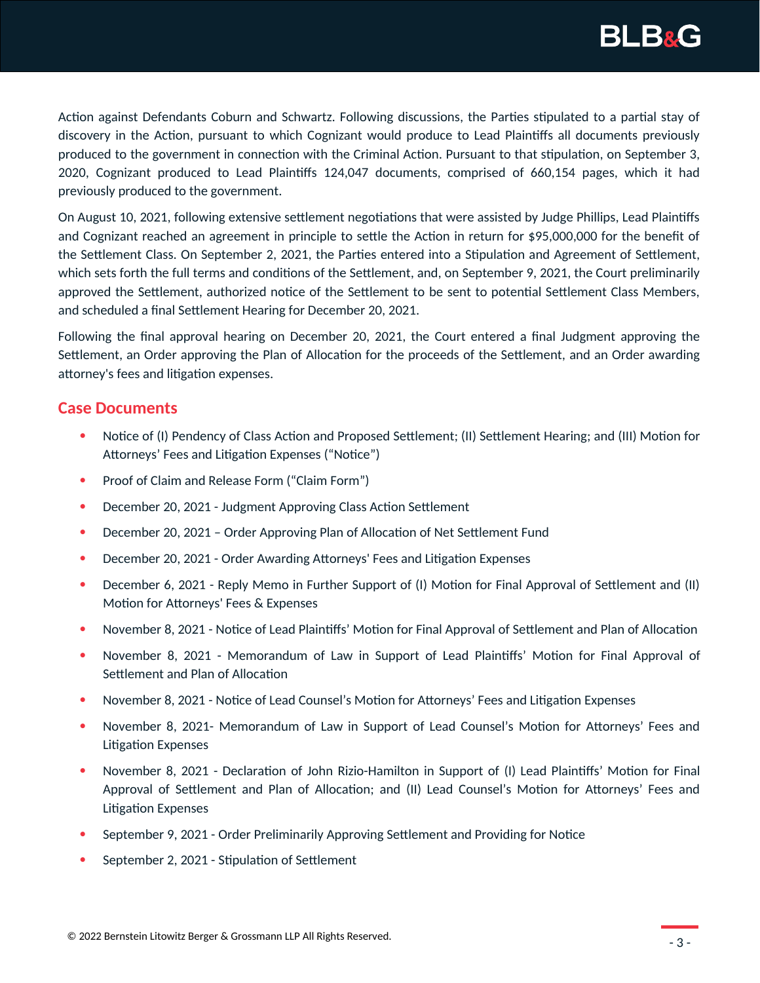

Action against Defendants Coburn and Schwartz. Following discussions, the Parties stipulated to a partial stay of discovery in the Action, pursuant to which Cognizant would produce to Lead Plaintiffs all documents previously produced to the government in connection with the Criminal Action. Pursuant to that stipulation, on September 3, 2020, Cognizant produced to Lead Plaintiffs 124,047 documents, comprised of 660,154 pages, which it had previously produced to the government.

On August 10, 2021, following extensive settlement negotiations that were assisted by Judge Phillips, Lead Plaintiffs and Cognizant reached an agreement in principle to settle the Action in return for \$95,000,000 for the benefit of the Settlement Class. On September 2, 2021, the Parties entered into a Stipulation and Agreement of Settlement, which sets forth the full terms and conditions of the Settlement, and, on September 9, 2021, the Court preliminarily approved the Settlement, authorized notice of the Settlement to be sent to potential Settlement Class Members, and scheduled a final Settlement Hearing for December 20, 2021.

Following the final approval hearing on December 20, 2021, the Court entered a final Judgment approving the Settlement, an Order approving the Plan of Allocation for the proceeds of the Settlement, and an Order awarding attorney's fees and litigation expenses.

# **Case Documents**

- Notice of (I) Pendency of Class Action and Proposed Settlement; (II) Settlement Hearing; and (III) Motion for Attorneys' Fees and Litigation Expenses ("Notice")
- Proof of Claim and Release Form ("Claim Form")
- December 20, 2021 Judgment Approving Class Action Settlement
- December 20, 2021 Order Approving Plan of Allocation of Net Settlement Fund
- December 20, 2021 Order Awarding Attorneys' Fees and Litigation Expenses
- **•** December 6, 2021 Reply Memo in Further Support of (I) Motion for Final Approval of Settlement and (II) Motion for Attorneys' Fees & Expenses
- November 8, 2021 Notice of Lead Plaintiffs' Motion for Final Approval of Settlement and Plan of Allocation
- November 8, 2021 Memorandum of Law in Support of Lead Plaintiffs' Motion for Final Approval of Settlement and Plan of Allocation
- November 8, 2021 Notice of Lead Counsel's Motion for Attorneys' Fees and Litigation Expenses
- November 8, 2021- Memorandum of Law in Support of Lead Counsel's Motion for Attorneys' Fees and Litigation Expenses
- November 8, 2021 Declaration of John Rizio-Hamilton in Support of (I) Lead Plaintiffs' Motion for Final Approval of Settlement and Plan of Allocation; and (II) Lead Counsel's Motion for Attorneys' Fees and Litigation Expenses
- September 9, 2021 Order Preliminarily Approving Settlement and Providing for Notice
- September 2, 2021 Stipulation of Settlement